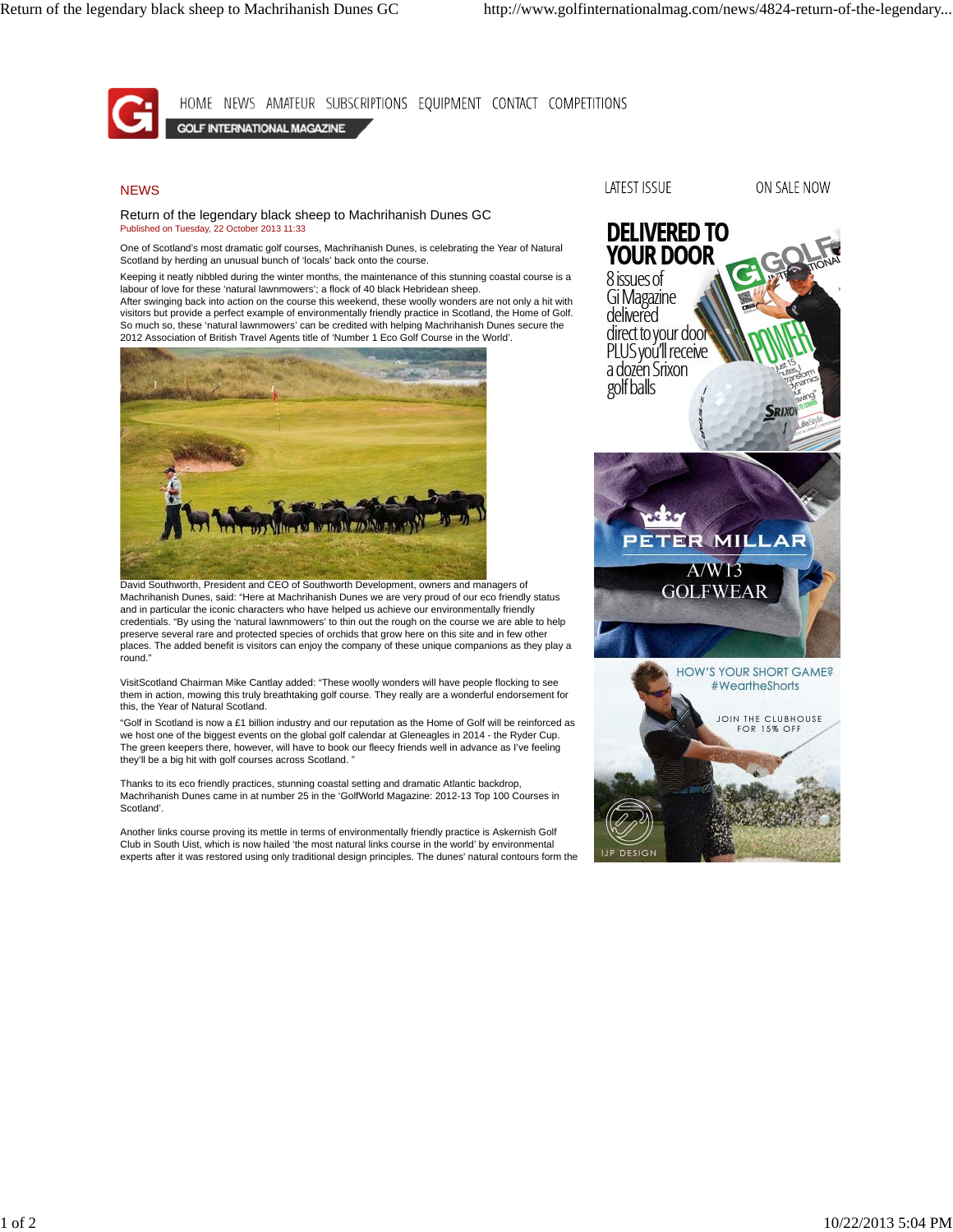HOME NEWS AMATEUR SUBSCRIPTIONS EQUIPMENT CONTACT COMPETITIONS GOLF INTERNATIONAL MAGAZINE

## **NEWS**

Return of the legendary black sheep to Machrihanish Dunes GC Published on Tuesday, 22 October 2013 11:33

One of Scotland's most dramatic golf courses, Machrihanish Dunes, is celebrating the Year of Natural Scotland by herding an unusual bunch of 'locals' back onto the course.

Keeping it neatly nibbled during the winter months, the maintenance of this stunning coastal course is a labour of love for these 'natural lawnmowers'; a flock of 40 black Hebridean sheep.

After swinging back into action on the course this weekend, these woolly wonders are not only a hit with visitors but provide a perfect example of environmentally friendly practice in Scotland, the Home of Golf. So much so, these 'natural lawnmowers' can be credited with helping Machrihanish Dunes secure the 2012 Association of British Travel Agents title of 'Number 1 Eco Golf Course in the World'.



David Southworth, President and CEO of Southworth Development, owners and managers of Machrihanish Dunes, said: "Here at Machrihanish Dunes we are very proud of our eco friendly status and in particular the iconic characters who have helped us achieve our environmentally friendly credentials. "By using the 'natural lawnmowers' to thin out the rough on the course we are able to help preserve several rare and protected species of orchids that grow here on this site and in few other places. The added benefit is visitors can enjoy the company of these unique companions as they play a round.

VisitScotland Chairman Mike Cantlay added: "These woolly wonders will have people flocking to see them in action, mowing this truly breathtaking golf course. They really are a wonderful endorsement for this, the Year of Natural Scotland.

"Golf in Scotland is now a £1 billion industry and our reputation as the Home of Golf will be reinforced as we host one of the biggest events on the global golf calendar at Gleneagles in 2014 - the Ryder Cup. The green keepers there, however, will have to book our fleecy friends well in advance as I've feeling they'll be a big hit with golf courses across Scotland.

Thanks to its eco friendly practices, stunning coastal setting and dramatic Atlantic backdrop, Machrihanish Dunes came in at number 25 in the 'GolfWorld Magazine: 2012-13 Top 100 Courses in Scotland'.

Another links course proving its mettle in terms of environmentally friendly practice is Askernish Golf Club in South Uist, which is now hailed 'the most natural links course in the world' by environmental experts after it was restored using only traditional design principles. The dunes' natural contours form the

## LATEST ISSUE

ON SALE NOW